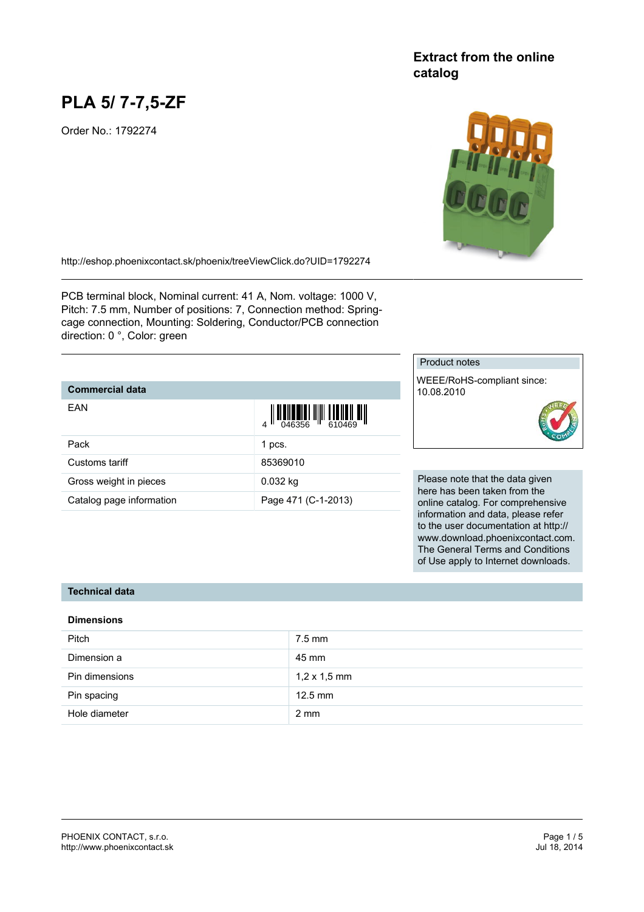# **PLA 5/ 7-7,5-ZF**

Order No.: 1792274

# **Extract from the online catalog**



<http://eshop.phoenixcontact.sk/phoenix/treeViewClick.do?UID=1792274>

PCB terminal block, Nominal current: 41 A, Nom. voltage: 1000 V, Pitch: 7.5 mm, Number of positions: 7, Connection method: Springcage connection, Mounting: Soldering, Conductor/PCB connection direction: 0 °, Color: green

# **Commercial data**

| EAN                      | $\left\  \prod_{0.46356} \right\  \left\  \prod_{610469} \prod_{100} \prod_{111} \prod_{112} \prod_{111} \prod_{111} \prod_{111} \prod_{111} \prod_{111} \prod_{111} \prod_{111} \prod_{111} \prod_{111} \prod_{111} \prod_{111} \prod_{111} \prod_{111} \prod_{111} \prod_{111} \prod_{111} \prod_{111} \prod_{111} \prod_{111} \prod_{111} \prod_{111} \prod_{111} \prod_{111} \prod_{11$ |
|--------------------------|---------------------------------------------------------------------------------------------------------------------------------------------------------------------------------------------------------------------------------------------------------------------------------------------------------------------------------------------------------------------------------------------|
| Pack                     | 1 pcs.                                                                                                                                                                                                                                                                                                                                                                                      |
| Customs tariff           | 85369010                                                                                                                                                                                                                                                                                                                                                                                    |
| Gross weight in pieces   | $0.032$ kg                                                                                                                                                                                                                                                                                                                                                                                  |
| Catalog page information | Page 471 (C-1-2013)                                                                                                                                                                                                                                                                                                                                                                         |

# Product notes

WEEE/RoHS-compliant since: 10.08.2010



Please note that the data given here has been taken from the online catalog. For comprehensive information and data, please refer to the user documentation at http:// www.download.phoenixcontact.com. The General Terms and Conditions of Use apply to Internet downloads.

# **Technical data**

#### **Dimensions**

| <b>Pitch</b>   | $7.5$ mm            |
|----------------|---------------------|
| Dimension a    | 45 mm               |
| Pin dimensions | $1,2 \times 1,5$ mm |
| Pin spacing    | $12.5$ mm           |
| Hole diameter  | $2 \text{ mm}$      |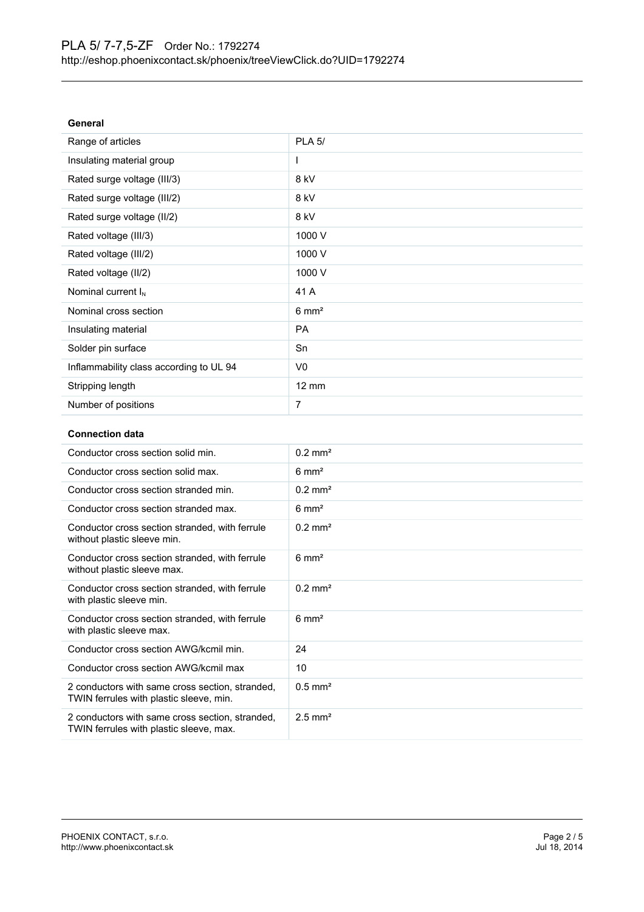| General                                 |                  |
|-----------------------------------------|------------------|
| Range of articles                       | <b>PLA 5/</b>    |
| Insulating material group               |                  |
| Rated surge voltage (III/3)             | 8 kV             |
| Rated surge voltage (III/2)             | 8 kV             |
| Rated surge voltage (II/2)              | 8 kV             |
| Rated voltage (III/3)                   | 1000 V           |
| Rated voltage (III/2)                   | 1000 V           |
| Rated voltage (II/2)                    | 1000 V           |
| Nominal current $I_N$                   | 41 A             |
| Nominal cross section                   | $6 \text{ mm}^2$ |
| Insulating material                     | <b>PA</b>        |
| Solder pin surface                      | Sn               |
| Inflammability class according to UL 94 | V <sub>0</sub>   |
| Stripping length                        | $12 \text{ mm}$  |
| Number of positions                     | 7                |

### **Connection data**

| Conductor cross section solid min.                                                         | $0.2$ mm <sup>2</sup> |
|--------------------------------------------------------------------------------------------|-----------------------|
| Conductor cross section solid max.                                                         | $6 \text{ mm}^2$      |
| Conductor cross section stranded min.                                                      | $0.2 \text{ mm}^2$    |
| Conductor cross section stranded max.                                                      | $6 \text{ mm}^2$      |
| Conductor cross section stranded, with ferrule<br>without plastic sleeve min.              | $0.2$ mm <sup>2</sup> |
| Conductor cross section stranded, with ferrule<br>without plastic sleeve max.              | $6 \text{ mm}^2$      |
| Conductor cross section stranded, with ferrule<br>with plastic sleeve min.                 | $0.2$ mm <sup>2</sup> |
| Conductor cross section stranded, with ferrule<br>with plastic sleeve max.                 | $6 \text{ mm}^2$      |
| Conductor cross section AWG/kcmil min.                                                     | 24                    |
| Conductor cross section AWG/kcmil max                                                      | 10                    |
| 2 conductors with same cross section, stranded,<br>TWIN ferrules with plastic sleeve, min. | $0.5$ mm <sup>2</sup> |
| 2 conductors with same cross section, stranded,<br>TWIN ferrules with plastic sleeve, max. | $2.5$ mm <sup>2</sup> |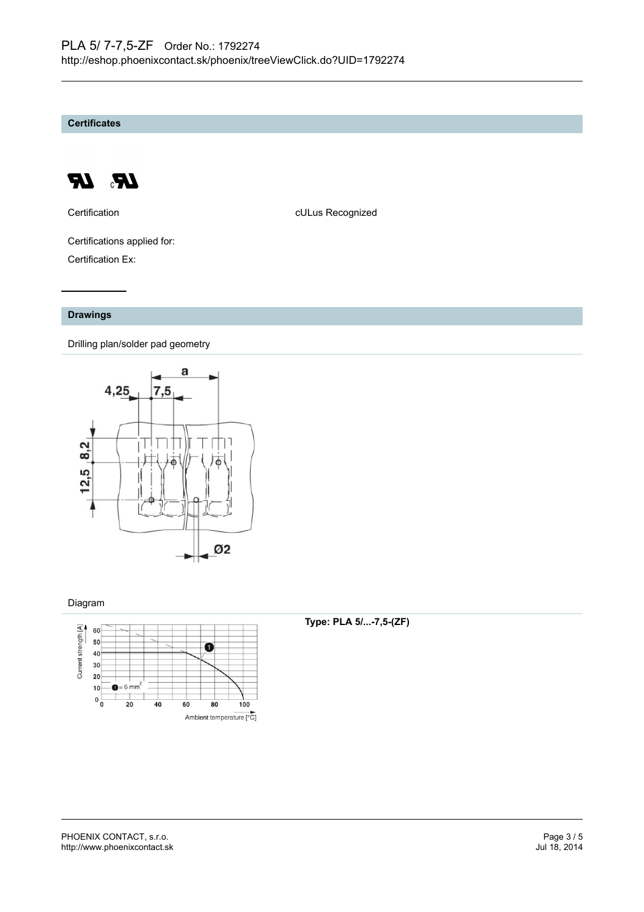**Certificates**



Certification **CERTIFICATE CULUS** Recognized

Certifications applied for: Certification Ex:

# **Drawings**

Drilling plan/solder pad geometry



# Diagram



# **Type: PLA 5/...-7,5-(ZF)**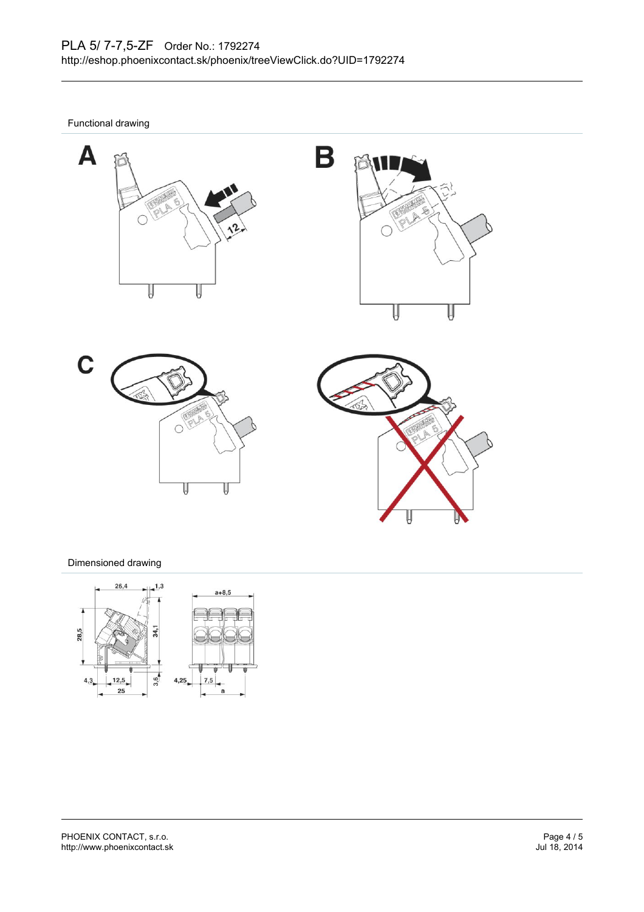Functional drawing









# Dimensioned drawing